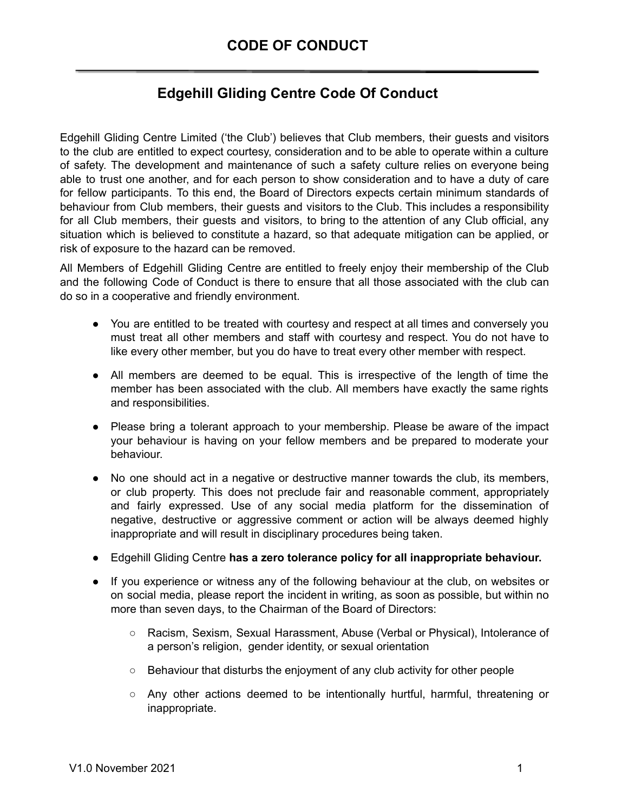## **Edgehill Gliding Centre Code Of Conduct**

Edgehill Gliding Centre Limited ('the Club') believes that Club members, their guests and visitors to the club are entitled to expect courtesy, consideration and to be able to operate within a culture of safety. The development and maintenance of such a safety culture relies on everyone being able to trust one another, and for each person to show consideration and to have a duty of care for fellow participants. To this end, the Board of Directors expects certain minimum standards of behaviour from Club members, their guests and visitors to the Club. This includes a responsibility for all Club members, their guests and visitors, to bring to the attention of any Club official, any situation which is believed to constitute a hazard, so that adequate mitigation can be applied, or risk of exposure to the hazard can be removed.

All Members of Edgehill Gliding Centre are entitled to freely enjoy their membership of the Club and the following Code of Conduct is there to ensure that all those associated with the club can do so in a cooperative and friendly environment.

- You are entitled to be treated with courtesy and respect at all times and conversely you must treat all other members and staff with courtesy and respect. You do not have to like every other member, but you do have to treat every other member with respect.
- All members are deemed to be equal. This is irrespective of the length of time the member has been associated with the club. All members have exactly the same rights and responsibilities.
- Please bring a tolerant approach to your membership. Please be aware of the impact your behaviour is having on your fellow members and be prepared to moderate your behaviour.
- No one should act in a negative or destructive manner towards the club, its members, or club property. This does not preclude fair and reasonable comment, appropriately and fairly expressed. Use of any social media platform for the dissemination of negative, destructive or aggressive comment or action will be always deemed highly inappropriate and will result in disciplinary procedures being taken.
- Edgehill Gliding Centre **has a zero tolerance policy for all inappropriate behaviour.**
- If you experience or witness any of the following behaviour at the club, on websites or on social media, please report the incident in writing, as soon as possible, but within no more than seven days, to the Chairman of the Board of Directors:
	- Racism, Sexism, Sexual Harassment, Abuse (Verbal or Physical), Intolerance of a person's religion, gender identity, or sexual orientation
	- Behaviour that disturbs the enjoyment of any club activity for other people
	- Any other actions deemed to be intentionally hurtful, harmful, threatening or inappropriate.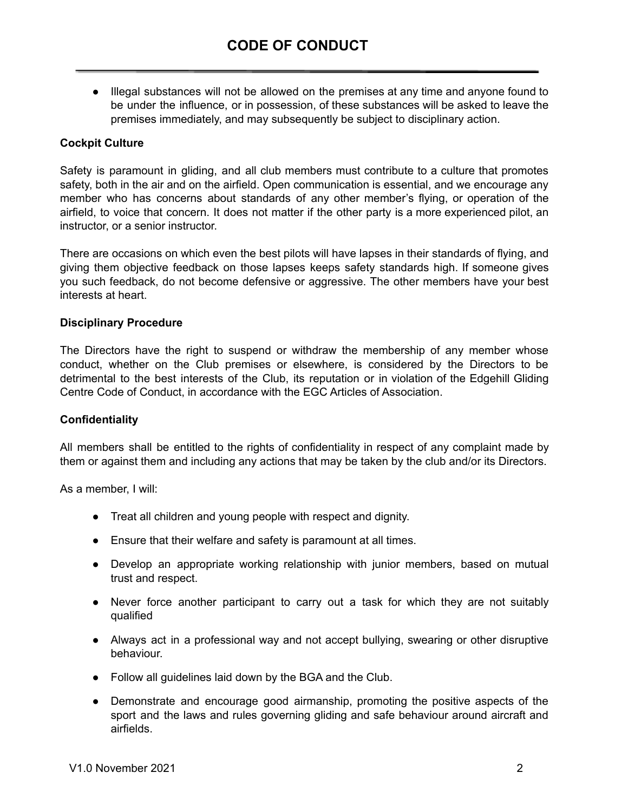● Illegal substances will not be allowed on the premises at any time and anyone found to be under the influence, or in possession, of these substances will be asked to leave the premises immediately, and may subsequently be subject to disciplinary action.

## **Cockpit Culture**

Safety is paramount in gliding, and all club members must contribute to a culture that promotes safety, both in the air and on the airfield. Open communication is essential, and we encourage any member who has concerns about standards of any other member's flying, or operation of the airfield, to voice that concern. It does not matter if the other party is a more experienced pilot, an instructor, or a senior instructor.

There are occasions on which even the best pilots will have lapses in their standards of flying, and giving them objective feedback on those lapses keeps safety standards high. If someone gives you such feedback, do not become defensive or aggressive. The other members have your best interests at heart.

## **Disciplinary Procedure**

The Directors have the right to suspend or withdraw the membership of any member whose conduct, whether on the Club premises or elsewhere, is considered by the Directors to be detrimental to the best interests of the Club, its reputation or in violation of the Edgehill Gliding Centre Code of Conduct, in accordance with the EGC Articles of Association.

## **Confidentiality**

All members shall be entitled to the rights of confidentiality in respect of any complaint made by them or against them and including any actions that may be taken by the club and/or its Directors.

As a member, I will:

- Treat all children and young people with respect and dignity.
- Ensure that their welfare and safety is paramount at all times.
- Develop an appropriate working relationship with junior members, based on mutual trust and respect.
- Never force another participant to carry out a task for which they are not suitably qualified
- Always act in a professional way and not accept bullying, swearing or other disruptive behaviour.
- Follow all guidelines laid down by the BGA and the Club.
- Demonstrate and encourage good airmanship, promoting the positive aspects of the sport and the laws and rules governing gliding and safe behaviour around aircraft and airfields.